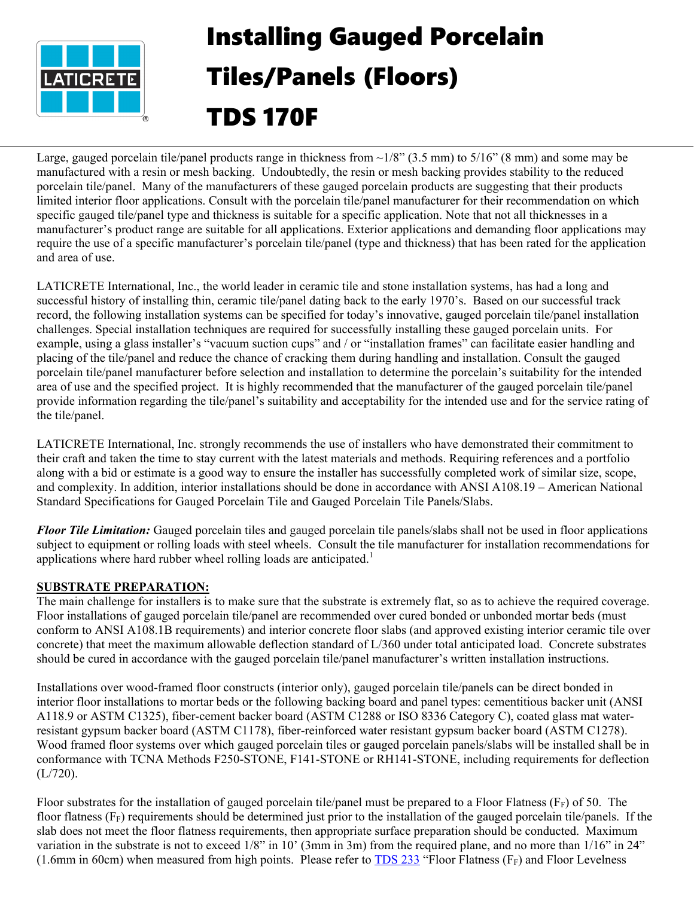

# Installing Gauged Porcelain Tiles/Panels (Floors) TDS 170F

Large, gauged porcelain tile/panel products range in thickness from  $\sim 1/8$ " (3.5 mm) to  $5/16$ " (8 mm) and some may be manufactured with a resin or mesh backing. Undoubtedly, the resin or mesh backing provides stability to the reduced porcelain tile/panel. Many of the manufacturers of these gauged porcelain products are suggesting that their products limited interior floor applications. Consult with the porcelain tile/panel manufacturer for their recommendation on which specific gauged tile/panel type and thickness is suitable for a specific application. Note that not all thicknesses in a manufacturer's product range are suitable for all applications. Exterior applications and demanding floor applications may require the use of a specific manufacturer's porcelain tile/panel (type and thickness) that has been rated for the application and area of use.

LATICRETE International, Inc., the world leader in ceramic tile and stone installation systems, has had a long and successful history of installing thin, ceramic tile/panel dating back to the early 1970's. Based on our successful track record, the following installation systems can be specified for today's innovative, gauged porcelain tile/panel installation challenges. Special installation techniques are required for successfully installing these gauged porcelain units. For example, using a glass installer's "vacuum suction cups" and / or "installation frames" can facilitate easier handling and placing of the tile/panel and reduce the chance of cracking them during handling and installation. Consult the gauged porcelain tile/panel manufacturer before selection and installation to determine the porcelain's suitability for the intended area of use and the specified project. It is highly recommended that the manufacturer of the gauged porcelain tile/panel provide information regarding the tile/panel's suitability and acceptability for the intended use and for the service rating of the tile/panel.

LATICRETE International, Inc. strongly recommends the use of installers who have demonstrated their commitment to their craft and taken the time to stay current with the latest materials and methods. Requiring references and a portfolio along with a bid or estimate is a good way to ensure the installer has successfully completed work of similar size, scope, and complexity. In addition, interior installations should be done in accordance with ANSI A108.19 – American National Standard Specifications for Gauged Porcelain Tile and Gauged Porcelain Tile Panels/Slabs.

*Floor Tile Limitation:* Gauged porcelain tiles and gauged porcelain tile panels/slabs shall not be used in floor applications subject to equipment or rolling loads with steel wheels. Consult the tile manufacturer for installation recommendations for applications where hard rubber wheel rolling loads are anticipated.<sup>1</sup>

# **SUBSTRATE PREPARATION:**

The main challenge for installers is to make sure that the substrate is extremely flat, so as to achieve the required coverage. Floor installations of gauged porcelain tile/panel are recommended over cured bonded or unbonded mortar beds (must conform to ANSI A108.1B requirements) and interior concrete floor slabs (and approved existing interior ceramic tile over concrete) that meet the maximum allowable deflection standard of L/360 under total anticipated load. Concrete substrates should be cured in accordance with the gauged porcelain tile/panel manufacturer's written installation instructions.

Installations over wood-framed floor constructs (interior only), gauged porcelain tile/panels can be direct bonded in interior floor installations to mortar beds or the following backing board and panel types: cementitious backer unit (ANSI A118.9 or ASTM C1325), fiber-cement backer board (ASTM C1288 or ISO 8336 Category C), coated glass mat waterresistant gypsum backer board (ASTM C1178), fiber-reinforced water resistant gypsum backer board (ASTM C1278). Wood framed floor systems over which gauged porcelain tiles or gauged porcelain panels/slabs will be installed shall be in conformance with TCNA Methods F250-STONE, F141-STONE or RH141-STONE, including requirements for deflection (L/720).

Floor substrates for the installation of gauged porcelain tile/panel must be prepared to a Floor Flatness ( $F_F$ ) of 50. The floor flatness  $(F_F)$  requirements should be determined just prior to the installation of the gauged porcelain tile/panels. If the slab does not meet the floor flatness requirements, then appropriate surface preparation should be conducted. Maximum variation in the substrate is not to exceed 1/8" in 10' (3mm in 3m) from the required plane, and no more than 1/16" in 24" (1.6mm in 60cm) when measured from high points. Please refer to  $TDS 233$  "Floor Flatness (F<sub>F</sub>) and Floor Levelness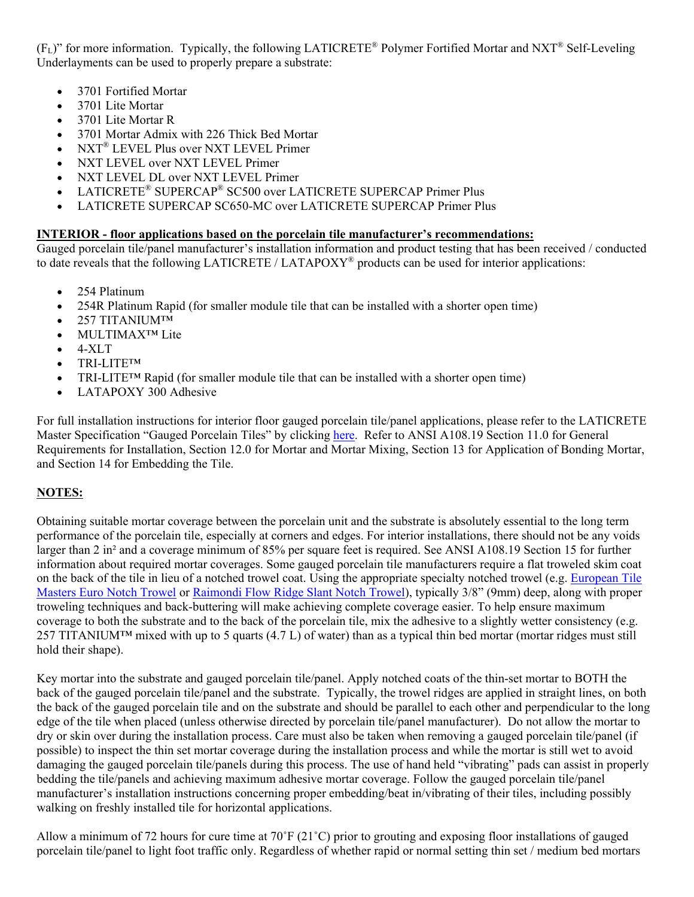(FL)" for more information. Typically, the following LATICRETE® Polymer Fortified Mortar and NXT® Self-Leveling Underlayments can be used to properly prepare a substrate:

- 3701 Fortified Mortar
- 3701 Lite Mortar
- 3701 Lite Mortar R
- 3701 Mortar Admix with 226 Thick Bed Mortar
- NXT® LEVEL Plus over NXT LEVEL Primer
- NXT LEVEL over NXT LEVEL Primer
- NXT LEVEL DL over NXT LEVEL Primer
- LATICRETE® SUPERCAP® SC500 over LATICRETE SUPERCAP Primer Plus
- LATICRETE SUPERCAP SC650-MC over LATICRETE SUPERCAP Primer Plus

### **INTERIOR - floor applications based on the porcelain tile manufacturer's recommendations:**

Gauged porcelain tile/panel manufacturer's installation information and product testing that has been received / conducted to date reveals that the following LATICRETE / LATAPOXY<sup>®</sup> products can be used for interior applications:

- 254 Platinum
- 254R Platinum Rapid (for smaller module tile that can be installed with a shorter open time)
- 257 TITANIUM™
- MULTIMAX<sup>™</sup> Lite
- 4-XLT
- TRI-LITE™
- TRI-LITE<sup>TM</sup> Rapid (for smaller module tile that can be installed with a shorter open time)
- LATAPOXY 300 Adhesive

For full installation instructions for interior floor gauged porcelain tile/panel applications, please refer to the LATICRETE Master Specification "Gauged Porcelain Tiles" by clicking [here.](https://cdn.laticrete.com/%7E/media/specification-sheets/laticrete-master-specification_gauged-porcelain-tiles_panels_slabs.ashx) Refer to ANSI A108.19 Section 11.0 for General Requirements for Installation, Section 12.0 for Mortar and Mortar Mixing, Section 13 for Application of Bonding Mortar, and Section 14 for Embedding the Tile.

# **NOTES:**

Obtaining suitable mortar coverage between the porcelain unit and the substrate is absolutely essential to the long term performance of the porcelain tile, especially at corners and edges. For interior installations, there should not be any voids larger than 2 in² and a coverage minimum of 85% per square feet is required. See ANSI A108.19 Section 15 for further information about required mortar coverages. Some gauged porcelain tile manufacturers require a flat troweled skim coat on the back of the tile in lieu of a notched trowel coat. Using the appropriate specialty notched trowel (e.g. [European Tile](http://www.europeantilemasters.com/)  [Masters Euro Notch Trowel](http://www.europeantilemasters.com/) or [Raimondi Flow Ridge Slant Notch Trowel\)](http://www.raimondiusa.com/all_products.html), typically 3/8" (9mm) deep, along with proper troweling techniques and back-buttering will make achieving complete coverage easier. To help ensure maximum coverage to both the substrate and to the back of the porcelain tile, mix the adhesive to a slightly wetter consistency (e.g.  $257$  TITANIUM<sup>TM</sup> mixed with up to 5 quarts (4.7 L) of water) than as a typical thin bed mortar (mortar ridges must still hold their shape).

Key mortar into the substrate and gauged porcelain tile/panel. Apply notched coats of the thin-set mortar to BOTH the back of the gauged porcelain tile/panel and the substrate. Typically, the trowel ridges are applied in straight lines, on both the back of the gauged porcelain tile and on the substrate and should be parallel to each other and perpendicular to the long edge of the tile when placed (unless otherwise directed by porcelain tile/panel manufacturer). Do not allow the mortar to dry or skin over during the installation process. Care must also be taken when removing a gauged porcelain tile/panel (if possible) to inspect the thin set mortar coverage during the installation process and while the mortar is still wet to avoid damaging the gauged porcelain tile/panels during this process. The use of hand held "vibrating" pads can assist in properly bedding the tile/panels and achieving maximum adhesive mortar coverage. Follow the gauged porcelain tile/panel manufacturer's installation instructions concerning proper embedding/beat in/vibrating of their tiles, including possibly walking on freshly installed tile for horizontal applications.

Allow a minimum of 72 hours for cure time at  $70^{\circ}F(21^{\circ}C)$  prior to grouting and exposing floor installations of gauged porcelain tile/panel to light foot traffic only. Regardless of whether rapid or normal setting thin set / medium bed mortars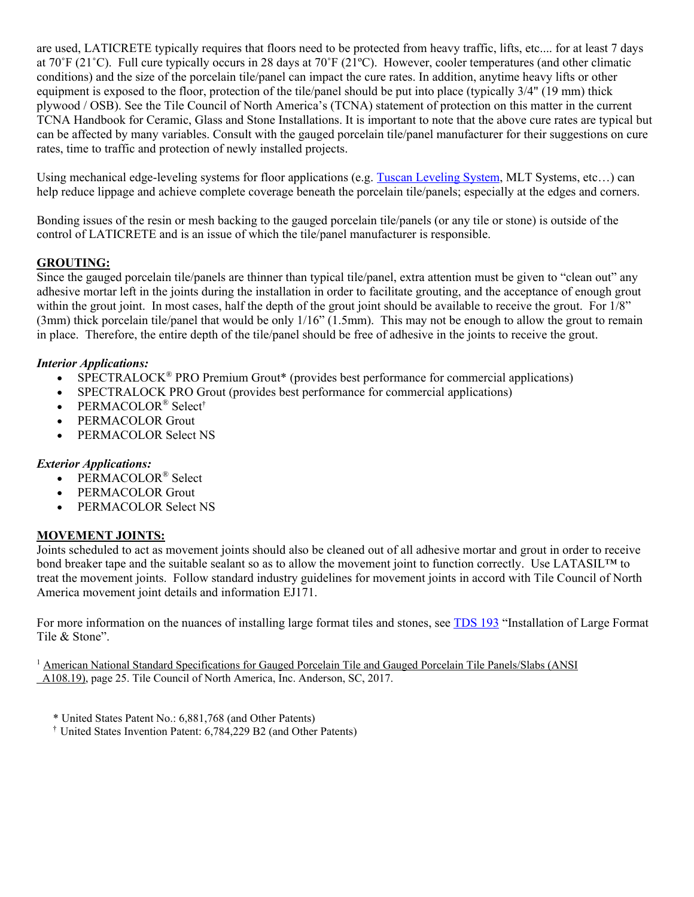are used, LATICRETE typically requires that floors need to be protected from heavy traffic, lifts, etc.... for at least 7 days at 70˚F (21˚C). Full cure typically occurs in 28 days at 70˚F (21ºC). However, cooler temperatures (and other climatic conditions) and the size of the porcelain tile/panel can impact the cure rates. In addition, anytime heavy lifts or other equipment is exposed to the floor, protection of the tile/panel should be put into place (typically 3/4" (19 mm) thick plywood / OSB). See the Tile Council of North America's (TCNA) statement of protection on this matter in the current TCNA Handbook for Ceramic, Glass and Stone Installations. It is important to note that the above cure rates are typical but can be affected by many variables. Consult with the gauged porcelain tile/panel manufacturer for their suggestions on cure rates, time to traffic and protection of newly installed projects.

Using mechanical edge-leveling systems for floor applications (e.g. [Tuscan Leveling System,](http://www.tuscanleveling.com/) MLT Systems, etc...) can help reduce lippage and achieve complete coverage beneath the porcelain tile/panels; especially at the edges and corners.

Bonding issues of the resin or mesh backing to the gauged porcelain tile/panels (or any tile or stone) is outside of the control of LATICRETE and is an issue of which the tile/panel manufacturer is responsible.

# **GROUTING:**

Since the gauged porcelain tile/panels are thinner than typical tile/panel, extra attention must be given to "clean out" any adhesive mortar left in the joints during the installation in order to facilitate grouting, and the acceptance of enough grout within the grout joint. In most cases, half the depth of the grout joint should be available to receive the grout. For 1/8"  $(3mm)$  thick porcelain tile/panel that would be only  $1/16$ "  $(1.5mm)$ . This may not be enough to allow the grout to remain in place. Therefore, the entire depth of the tile/panel should be free of adhesive in the joints to receive the grout.

# *Interior Applications:*

- SPECTRALOCK<sup>®</sup> PRO Premium Grout<sup>\*</sup> (provides best performance for commercial applications)
- SPECTRALOCK PRO Grout (provides best performance for commercial applications)
- PERMACOLOR® Select†
- PERMACOLOR Grout
- PERMACOLOR Select NS

#### *Exterior Applications:*

- PERMACOLOR<sup>®</sup> Select
- PERMACOLOR Grout
- PERMACOLOR Select NS

# **MOVEMENT JOINTS:**

Joints scheduled to act as movement joints should also be cleaned out of all adhesive mortar and grout in order to receive bond breaker tape and the suitable sealant so as to allow the movement joint to function correctly. Use LATASIL™ to treat the movement joints. Follow standard industry guidelines for movement joints in accord with Tile Council of North America movement joint details and information EJ171.

For more information on the nuances of installing large format tiles and stones, see [TDS 193](https://cdn.laticrete.com/%7E/media/support-and-downloads/technical-datasheets/tds193.ashx) "Installation of Large Format Tile & Stone".

<sup>1</sup> American National Standard Specifications for Gauged Porcelain Tile and Gauged Porcelain Tile Panels/Slabs (ANSI) A108.19), page 25. Tile Council of North America, Inc. Anderson, SC, 2017.

- \* United States Patent No.: 6,881,768 (and Other Patents)
- † United States Invention Patent: 6,784,229 B2 (and Other Patents)